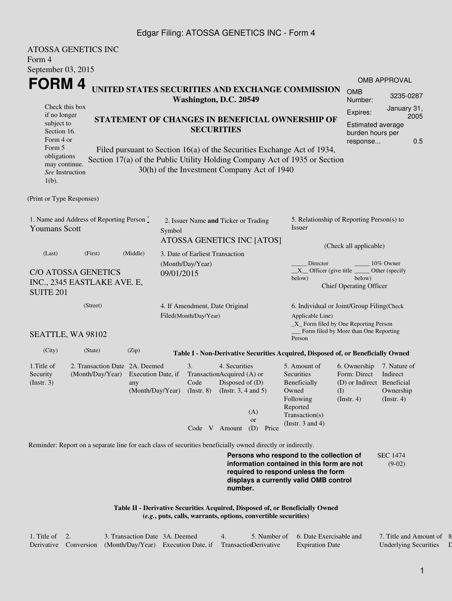## Edgar Filing: ATOSSA GENETICS INC - Form 4

|                                | <b>ATOSSA GENETICS INC</b>                                                                                  |          |            |                                                           |                            |                                                                |                                                                                             |                                           |                                          |  |  |  |
|--------------------------------|-------------------------------------------------------------------------------------------------------------|----------|------------|-----------------------------------------------------------|----------------------------|----------------------------------------------------------------|---------------------------------------------------------------------------------------------|-------------------------------------------|------------------------------------------|--|--|--|
| Form 4                         |                                                                                                             |          |            |                                                           |                            |                                                                |                                                                                             |                                           |                                          |  |  |  |
| September 03, 2015             |                                                                                                             |          |            |                                                           |                            |                                                                |                                                                                             |                                           |                                          |  |  |  |
| FORM 4                         |                                                                                                             |          |            |                                                           |                            |                                                                |                                                                                             |                                           | <b>OMB APPROVAL</b>                      |  |  |  |
|                                |                                                                                                             |          |            | Washington, D.C. 20549                                    |                            |                                                                | UNITED STATES SECURITIES AND EXCHANGE COMMISSION                                            | <b>OMB</b><br>Number:                     | 3235-0287                                |  |  |  |
| Check this box<br>if no longer |                                                                                                             |          |            |                                                           |                            |                                                                |                                                                                             | Expires:                                  | January 31,                              |  |  |  |
| subject to                     |                                                                                                             |          |            |                                                           |                            |                                                                | STATEMENT OF CHANGES IN BENEFICIAL OWNERSHIP OF                                             | <b>Estimated average</b>                  | 2005                                     |  |  |  |
| Section 16.                    |                                                                                                             |          |            |                                                           | <b>SECURITIES</b>          |                                                                |                                                                                             | burden hours per                          |                                          |  |  |  |
| Form 4 or                      |                                                                                                             |          |            |                                                           |                            |                                                                |                                                                                             | response                                  | 0.5                                      |  |  |  |
| Form 5<br>obligations          |                                                                                                             |          |            |                                                           |                            |                                                                | Filed pursuant to Section 16(a) of the Securities Exchange Act of 1934,                     |                                           |                                          |  |  |  |
| may continue.                  |                                                                                                             |          |            |                                                           |                            |                                                                | Section 17(a) of the Public Utility Holding Company Act of 1935 or Section                  |                                           |                                          |  |  |  |
| See Instruction                |                                                                                                             |          |            |                                                           |                            | 30(h) of the Investment Company Act of 1940                    |                                                                                             |                                           |                                          |  |  |  |
| $1(b)$ .                       |                                                                                                             |          |            |                                                           |                            |                                                                |                                                                                             |                                           |                                          |  |  |  |
| (Print or Type Responses)      |                                                                                                             |          |            |                                                           |                            |                                                                |                                                                                             |                                           |                                          |  |  |  |
|                                | 1. Name and Address of Reporting Person*                                                                    |          |            |                                                           |                            |                                                                | 5. Relationship of Reporting Person(s) to                                                   |                                           |                                          |  |  |  |
| <b>Youmans Scott</b>           |                                                                                                             |          | Symbol     | 2. Issuer Name and Ticker or Trading                      |                            |                                                                | Issuer                                                                                      |                                           |                                          |  |  |  |
|                                |                                                                                                             |          |            |                                                           | ATOSSA GENETICS INC [ATOS] |                                                                |                                                                                             |                                           |                                          |  |  |  |
|                                |                                                                                                             |          |            |                                                           |                            |                                                                | (Check all applicable)                                                                      |                                           |                                          |  |  |  |
| (Last)                         | (First)                                                                                                     | (Middle) |            | 3. Date of Earliest Transaction                           |                            |                                                                |                                                                                             |                                           |                                          |  |  |  |
|                                | <b>C/O ATOSSA GENETICS</b>                                                                                  |          |            | (Month/Day/Year)                                          |                            |                                                                | Director<br>10% Owner<br>$X$ Officer (give title $\overline{\phantom{a}}$<br>Other (specify |                                           |                                          |  |  |  |
|                                |                                                                                                             |          | 09/01/2015 |                                                           |                            |                                                                | below)<br>below)                                                                            |                                           |                                          |  |  |  |
| <b>SUITE 201</b>               | INC., 2345 EASTLAKE AVE. E,                                                                                 |          |            |                                                           |                            | <b>Chief Operating Officer</b>                                 |                                                                                             |                                           |                                          |  |  |  |
|                                |                                                                                                             |          |            |                                                           |                            |                                                                |                                                                                             |                                           |                                          |  |  |  |
|                                | (Street)                                                                                                    |          |            | 4. If Amendment, Date Original                            |                            |                                                                |                                                                                             | 6. Individual or Joint/Group Filing(Check |                                          |  |  |  |
| Filed(Month/Day/Year)          |                                                                                                             |          |            |                                                           |                            |                                                                | Applicable Line)                                                                            |                                           | $\_X$ Form filed by One Reporting Person |  |  |  |
|                                |                                                                                                             |          |            |                                                           |                            |                                                                |                                                                                             | Form filed by More than One Reporting     |                                          |  |  |  |
|                                | SEATTLE, WA 98102                                                                                           |          |            |                                                           |                            |                                                                | Person                                                                                      |                                           |                                          |  |  |  |
| (City)                         | (State)                                                                                                     | (Zip)    |            |                                                           |                            |                                                                | Table I - Non-Derivative Securities Acquired, Disposed of, or Beneficially Owned            |                                           |                                          |  |  |  |
| 1. Title of                    | 2. Transaction Date 2A. Deemed                                                                              |          |            | 3.                                                        | 4. Securities              |                                                                | 5. Amount of                                                                                | 6. Ownership                              | 7. Nature of                             |  |  |  |
| Security                       | (Month/Day/Year) Execution Date, if                                                                         |          |            |                                                           | TransactionAcquired (A) or |                                                                | Securities                                                                                  | Form: Direct                              | Indirect                                 |  |  |  |
| $($ Instr. 3 $)$               |                                                                                                             | any      |            | Code<br>$(Month/Day/Year)$ (Instr. 8) (Instr. 3, 4 and 5) | Disposed of $(D)$          |                                                                | Beneficially<br>Owned                                                                       | (D) or Indirect Beneficial<br>(I)         | Ownership                                |  |  |  |
|                                |                                                                                                             |          |            |                                                           |                            |                                                                | Following                                                                                   | (Insert. 4)                               | $($ Instr. 4 $)$                         |  |  |  |
|                                |                                                                                                             |          |            |                                                           |                            | (A)                                                            | Reported                                                                                    |                                           |                                          |  |  |  |
|                                |                                                                                                             |          |            |                                                           |                            | <b>or</b>                                                      | Transaction(s)                                                                              |                                           |                                          |  |  |  |
|                                |                                                                                                             |          |            |                                                           | Code V Amount              | (D) Price                                                      | (Instr. $3$ and $4$ )                                                                       |                                           |                                          |  |  |  |
|                                | Reminder: Report on a separate line for each class of securities beneficially owned directly or indirectly. |          |            |                                                           |                            |                                                                |                                                                                             |                                           |                                          |  |  |  |
|                                |                                                                                                             |          |            |                                                           |                            |                                                                | Persons who respond to the collection of                                                    |                                           | <b>SEC 1474</b>                          |  |  |  |
|                                |                                                                                                             |          |            |                                                           |                            |                                                                | information contained in this form are not                                                  |                                           | $(9-02)$                                 |  |  |  |
|                                |                                                                                                             |          |            |                                                           |                            |                                                                | required to respond unless the form<br>displays a currently valid OMB control               |                                           |                                          |  |  |  |
|                                |                                                                                                             |          |            |                                                           | number.                    |                                                                |                                                                                             |                                           |                                          |  |  |  |
|                                |                                                                                                             |          |            |                                                           |                            |                                                                |                                                                                             |                                           |                                          |  |  |  |
|                                |                                                                                                             |          |            |                                                           |                            |                                                                | Table II - Derivative Securities Acquired, Disposed of, or Beneficially Owned               |                                           |                                          |  |  |  |
|                                |                                                                                                             |          |            |                                                           |                            | (e.g., puts, calls, warrants, options, convertible securities) |                                                                                             |                                           |                                          |  |  |  |
|                                |                                                                                                             |          |            |                                                           |                            |                                                                |                                                                                             |                                           |                                          |  |  |  |

| 1. Title of | 3. Transaction Date 3A. Deemed                                                  |  | 5. Number of 6. Date Exercisable and | 7. Title and Amount of       |
|-------------|---------------------------------------------------------------------------------|--|--------------------------------------|------------------------------|
|             | Derivative Conversion (Month/Day/Year) Execution Date if Transaction Derivative |  | <b>Expiration Date</b>               | <b>Underlying Securities</b> |

8. Price of  $\Gamma$